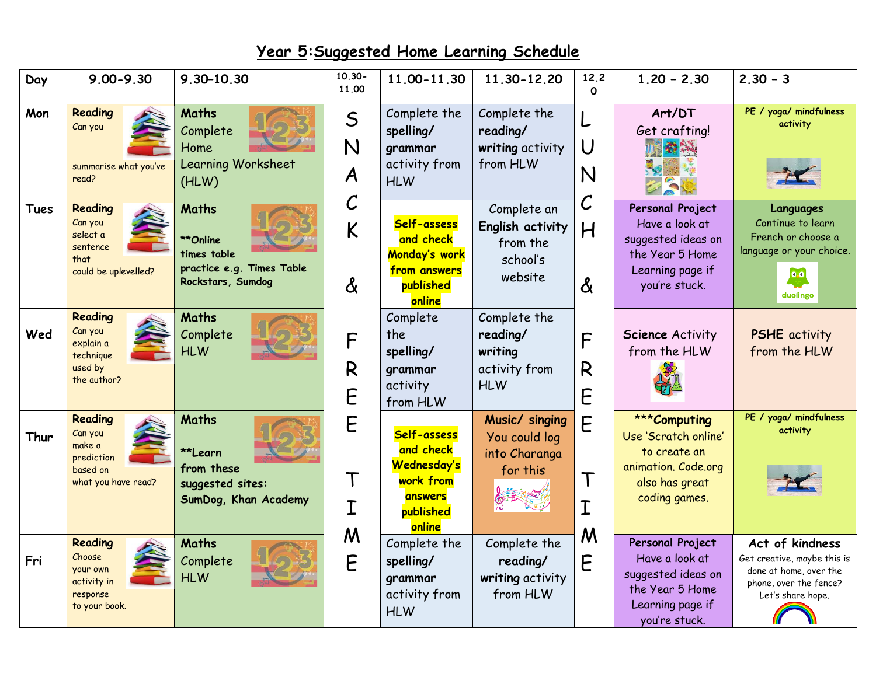## **Year 5:Suggested Home Learning Schedule**

| Day         | $9.00 - 9.30$                                                                 | 9.30-10.30                                                                         | $10.30 -$<br>11.00                   | 11.00-11.30                                                                            | 11.30-12.20                                                        | 12.2<br>$\Omega$ | $1,20 - 2,30$                                                                                                    | $2.30 - 3$                                                                                                              |
|-------------|-------------------------------------------------------------------------------|------------------------------------------------------------------------------------|--------------------------------------|----------------------------------------------------------------------------------------|--------------------------------------------------------------------|------------------|------------------------------------------------------------------------------------------------------------------|-------------------------------------------------------------------------------------------------------------------------|
| Mon         | Reading<br>Can you<br>summarise what you've<br>read?                          | <b>Maths</b><br>Complete<br>Home<br>Learning Worksheet<br>(HLW)                    | $\mathsf S$<br>N<br>$\boldsymbol{A}$ | Complete the<br>spelling/<br>grammar<br>activity from<br><b>HLW</b>                    | Complete the<br>reading/<br>writing activity<br>from HLW           | U<br>N           | Art/DT<br>Get crafting!<br>安安                                                                                    | PE / yoga/ mindfulness<br>activity                                                                                      |
| <b>Tues</b> | Reading<br>Can you<br>select a<br>sentence<br>that<br>could be uplevelled?    | Maths<br>**Online<br>times table<br>practice e.g. Times Table<br>Rockstars, Sumdog | $\mathcal C$<br>K<br>$\delta$        | Self-assess<br>and check<br>Monday's work<br>from answers<br>published<br>online       | Complete an<br>English activity<br>from the<br>school's<br>website | C<br>H<br>&      | Personal Project<br>Have a look at<br>suggested ideas on<br>the Year 5 Home<br>Learning page if<br>you're stuck. | Languages<br>Continue to learn<br>French or choose a<br>language or your choice.<br>0.0<br>duolingo                     |
| Wed         | Reading<br>Can you<br>explain a<br>technique<br>used by<br>the author?        | Maths<br>Complete<br><b>HLW</b>                                                    | F<br>R<br>E                          | Complete<br>the<br>spelling/<br>grammar<br>activity<br>from HLW                        | Complete the<br>reading/<br>writing<br>activity from<br><b>HLW</b> | F<br>R<br>E      | <b>Science Activity</b><br>from the HLW                                                                          | <b>PSHE</b> activity<br>from the HLW                                                                                    |
| Thur        | Reading<br>Can you<br>make a<br>prediction<br>based on<br>what you have read? | <b>Maths</b><br>**Learn<br>from these<br>suggested sites:<br>SumDog, Khan Academy  | E<br>T<br>$\mathbf I$                | Self-assess<br>and check<br>Wednesday's<br>work from<br>answers<br>published<br>online | Music/ singing<br>You could log<br>into Charanga<br>for this       | E                | ***Computing<br>Use 'Scratch online'<br>to create an<br>animation. Code.org<br>also has great<br>coding games.   | PE / yoga/ mindfulness<br>activity                                                                                      |
| Fri         | Reading<br>Choose<br>your own<br>activity in<br>response<br>to your book.     | <b>Maths</b><br>Complete<br><b>HLW</b>                                             | M<br>E                               | Complete the<br>spelling/<br>grammar<br>activity from<br><b>HLW</b>                    | Complete the<br>reading/<br>writing activity<br>from HLW           | M<br>F           | Personal Project<br>Have a look at<br>suggested ideas on<br>the Year 5 Home<br>Learning page if<br>you're stuck. | Act of kindness<br>Get creative, maybe this is<br>done at home, over the<br>phone, over the fence?<br>Let's share hope. |